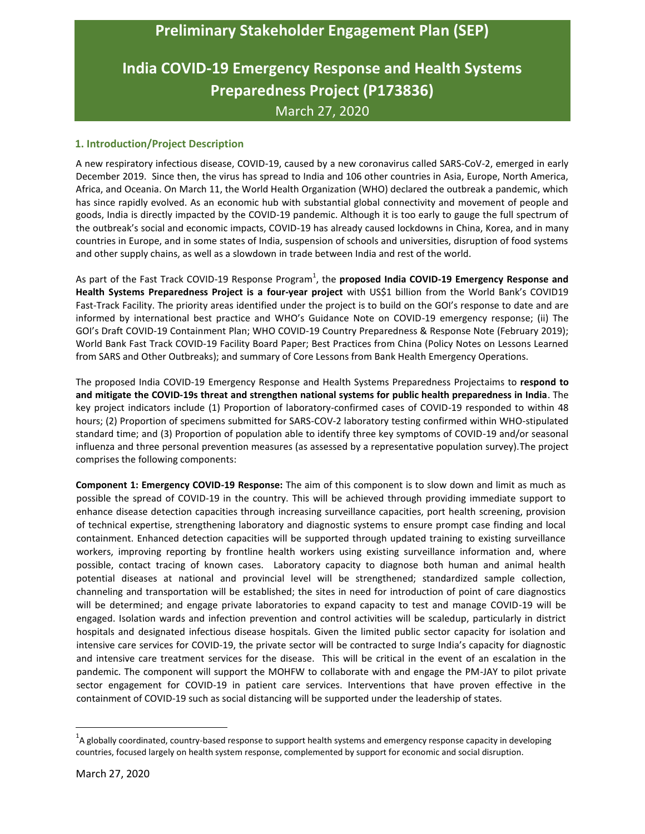## **Preliminary Stakeholder Engagement Plan (SEP)**

# **India COVID-19 Emergency Response and Health Systems Preparedness Project (P173836)** March 27, 2020

## **1. Introduction/Project Description**

A new respiratory infectious disease, COVID-19, caused by a new coronavirus called SARS-CoV-2, emerged in early December 2019. Since then, the virus has spread to India and 106 other countries in Asia, Europe, North America, Africa, and Oceania. On March 11, the World Health Organization (WHO) declared the outbreak a pandemic, which has since rapidly evolved. As an economic hub with substantial global connectivity and movement of people and goods, India is directly impacted by the COVID-19 pandemic. Although it is too early to gauge the full spectrum of the outbreak's social and economic impacts, COVID-19 has already caused lockdowns in China, Korea, and in many countries in Europe, and in some states of India, suspension of schools and universities, disruption of food systems and other supply chains, as well as a slowdown in trade between India and rest of the world.

As part of the Fast Track COVID-19 Response Program<sup>1</sup>, the **proposed India COVID-19 Emergency Response and Health Systems Preparedness Project is a four-year project** with US\$1 billion from the World Bank's COVID19 Fast-Track Facility. The priority areas identified under the project is to build on the GOI's response to date and are informed by international best practice and WHO's Guidance Note on COVID-19 emergency response; (ii) The GOI's Draft COVID-19 Containment Plan; WHO COVID-19 Country Preparedness & Response Note (February 2019); World Bank Fast Track COVID-19 Facility Board Paper; Best Practices from China (Policy Notes on Lessons Learned from SARS and Other Outbreaks); and summary of Core Lessons from Bank Health Emergency Operations.

The proposed India COVID-19 Emergency Response and Health Systems Preparedness Projectaims to **respond to and mitigate the COVID-19s threat and strengthen national systems for public health preparedness in India**. The key project indicators include (1) Proportion of laboratory-confirmed cases of COVID-19 responded to within 48 hours; (2) Proportion of specimens submitted for SARS-COV-2 laboratory testing confirmed within WHO-stipulated standard time; and (3) Proportion of population able to identify three key symptoms of COVID-19 and/or seasonal influenza and three personal prevention measures (as assessed by a representative population survey).The project comprises the following components:

**Component 1: Emergency COVID-19 Response:** The aim of this component is to slow down and limit as much as possible the spread of COVID-19 in the country. This will be achieved through providing immediate support to enhance disease detection capacities through increasing surveillance capacities, port health screening, provision of technical expertise, strengthening laboratory and diagnostic systems to ensure prompt case finding and local containment. Enhanced detection capacities will be supported through updated training to existing surveillance workers, improving reporting by frontline health workers using existing surveillance information and, where possible, contact tracing of known cases. Laboratory capacity to diagnose both human and animal health potential diseases at national and provincial level will be strengthened; standardized sample collection, channeling and transportation will be established; the sites in need for introduction of point of care diagnostics will be determined; and engage private laboratories to expand capacity to test and manage COVID-19 will be engaged. Isolation wards and infection prevention and control activities will be scaledup, particularly in district hospitals and designated infectious disease hospitals. Given the limited public sector capacity for isolation and intensive care services for COVID-19, the private sector will be contracted to surge India's capacity for diagnostic and intensive care treatment services for the disease. This will be critical in the event of an escalation in the pandemic. The component will support the MOHFW to collaborate with and engage the PM-JAY to pilot private sector engagement for COVID-19 in patient care services. Interventions that have proven effective in the containment of COVID-19 such as social distancing will be supported under the leadership of states.

l

 $^1$ A globally coordinated, country-based response to support health systems and emergency response capacity in developing countries, focused largely on health system response, complemented by support for economic and social disruption.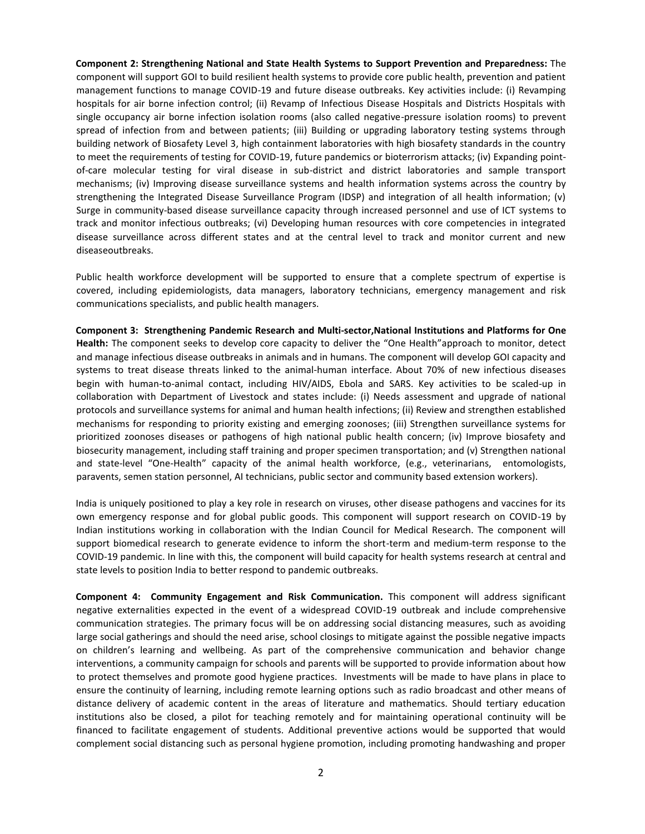**Component 2: Strengthening National and State Health Systems to Support Prevention and Preparedness:** The component will support GOI to build resilient health systems to provide core public health, prevention and patient management functions to manage COVID-19 and future disease outbreaks. Key activities include: (i) Revamping hospitals for air borne infection control; (ii) Revamp of Infectious Disease Hospitals and Districts Hospitals with single occupancy air borne infection isolation rooms (also called negative-pressure isolation rooms) to prevent spread of infection from and between patients; (iii) Building or upgrading laboratory testing systems through building network of Biosafety Level 3, high containment laboratories with high biosafety standards in the country to meet the requirements of testing for COVID-19, future pandemics or bioterrorism attacks; (iv) Expanding pointof-care molecular testing for viral disease in sub-district and district laboratories and sample transport mechanisms; (iv) Improving disease surveillance systems and health information systems across the country by strengthening the Integrated Disease Surveillance Program (IDSP) and integration of all health information; (v) Surge in community-based disease surveillance capacity through increased personnel and use of ICT systems to track and monitor infectious outbreaks; (vi) Developing human resources with core competencies in integrated disease surveillance across different states and at the central level to track and monitor current and new diseaseoutbreaks.

Public health workforce development will be supported to ensure that a complete spectrum of expertise is covered, including epidemiologists, data managers, laboratory technicians, emergency management and risk communications specialists, and public health managers.

**Component 3: Strengthening Pandemic Research and Multi-sector,National Institutions and Platforms for One Health:** The component seeks to develop core capacity to deliver the "One Health"approach to monitor, detect and manage infectious disease outbreaks in animals and in humans. The component will develop GOI capacity and systems to treat disease threats linked to the animal-human interface. About 70% of new infectious diseases begin with human-to-animal contact, including HIV/AIDS, Ebola and SARS. Key activities to be scaled-up in collaboration with Department of Livestock and states include: (i) Needs assessment and upgrade of national protocols and surveillance systems for animal and human health infections; (ii) Review and strengthen established mechanisms for responding to priority existing and emerging zoonoses; (iii) Strengthen surveillance systems for prioritized zoonoses diseases or pathogens of high national public health concern; (iv) Improve biosafety and biosecurity management, including staff training and proper specimen transportation; and (v) Strengthen national and state-level "One-Health" capacity of the animal health workforce, (e.g., veterinarians, entomologists, paravents, semen station personnel, AI technicians, public sector and community based extension workers).

India is uniquely positioned to play a key role in research on viruses, other disease pathogens and vaccines for its own emergency response and for global public goods. This component will support research on COVID-19 by Indian institutions working in collaboration with the Indian Council for Medical Research. The component will support biomedical research to generate evidence to inform the short-term and medium-term response to the COVID-19 pandemic. In line with this, the component will build capacity for health systems research at central and state levels to position India to better respond to pandemic outbreaks.

**Component 4: Community Engagement and Risk Communication.** This component will address significant negative externalities expected in the event of a widespread COVID-19 outbreak and include comprehensive communication strategies. The primary focus will be on addressing social distancing measures, such as avoiding large social gatherings and should the need arise, school closings to mitigate against the possible negative impacts on children's learning and wellbeing. As part of the comprehensive communication and behavior change interventions, a community campaign for schools and parents will be supported to provide information about how to protect themselves and promote good hygiene practices. Investments will be made to have plans in place to ensure the continuity of learning, including remote learning options such as radio broadcast and other means of distance delivery of academic content in the areas of literature and mathematics. Should tertiary education institutions also be closed, a pilot for teaching remotely and for maintaining operational continuity will be financed to facilitate engagement of students. Additional preventive actions would be supported that would complement social distancing such as personal hygiene promotion, including promoting handwashing and proper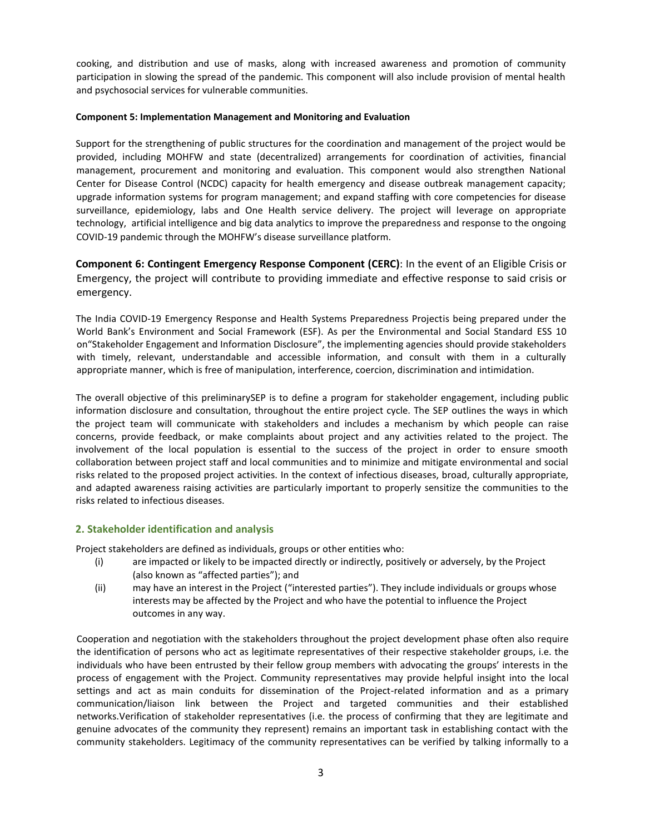cooking, and distribution and use of masks, along with increased awareness and promotion of community participation in slowing the spread of the pandemic. This component will also include provision of mental health and psychosocial services for vulnerable communities.

#### **Component 5: Implementation Management and Monitoring and Evaluation**

Support for the strengthening of public structures for the coordination and management of the project would be provided, including MOHFW and state (decentralized) arrangements for coordination of activities, financial management, procurement and monitoring and evaluation. This component would also strengthen National Center for Disease Control (NCDC) capacity for health emergency and disease outbreak management capacity; upgrade information systems for program management; and expand staffing with core competencies for disease surveillance, epidemiology, labs and One Health service delivery. The project will leverage on appropriate technology, artificial intelligence and big data analytics to improve the preparedness and response to the ongoing COVID-19 pandemic through the MOHFW's disease surveillance platform.

**Component 6: Contingent Emergency Response Component (CERC)**: In the event of an Eligible Crisis or Emergency, the project will contribute to providing immediate and effective response to said crisis or emergency.

The India COVID-19 Emergency Response and Health Systems Preparedness Projectis being prepared under the World Bank's Environment and Social Framework (ESF). As per the Environmental and Social Standard ESS 10 on"Stakeholder Engagement and Information Disclosure", the implementing agencies should provide stakeholders with timely, relevant, understandable and accessible information, and consult with them in a culturally appropriate manner, which is free of manipulation, interference, coercion, discrimination and intimidation.

The overall objective of this preliminarySEP is to define a program for stakeholder engagement, including public information disclosure and consultation, throughout the entire project cycle. The SEP outlines the ways in which the project team will communicate with stakeholders and includes a mechanism by which people can raise concerns, provide feedback, or make complaints about project and any activities related to the project. The involvement of the local population is essential to the success of the project in order to ensure smooth collaboration between project staff and local communities and to minimize and mitigate environmental and social risks related to the proposed project activities. In the context of infectious diseases, broad, culturally appropriate, and adapted awareness raising activities are particularly important to properly sensitize the communities to the risks related to infectious diseases.

## **2. Stakeholder identification and analysis**

Project stakeholders are defined as individuals, groups or other entities who:

- (i) are impacted or likely to be impacted directly or indirectly, positively or adversely, by the Project (also known as "affected parties"); and
- (ii) may have an interest in the Project ("interested parties"). They include individuals or groups whose interests may be affected by the Project and who have the potential to influence the Project outcomes in any way.

Cooperation and negotiation with the stakeholders throughout the project development phase often also require the identification of persons who act as legitimate representatives of their respective stakeholder groups, i.e. the individuals who have been entrusted by their fellow group members with advocating the groups' interests in the process of engagement with the Project. Community representatives may provide helpful insight into the local settings and act as main conduits for dissemination of the Project-related information and as a primary communication/liaison link between the Project and targeted communities and their established networks.Verification of stakeholder representatives (i.e. the process of confirming that they are legitimate and genuine advocates of the community they represent) remains an important task in establishing contact with the community stakeholders. Legitimacy of the community representatives can be verified by talking informally to a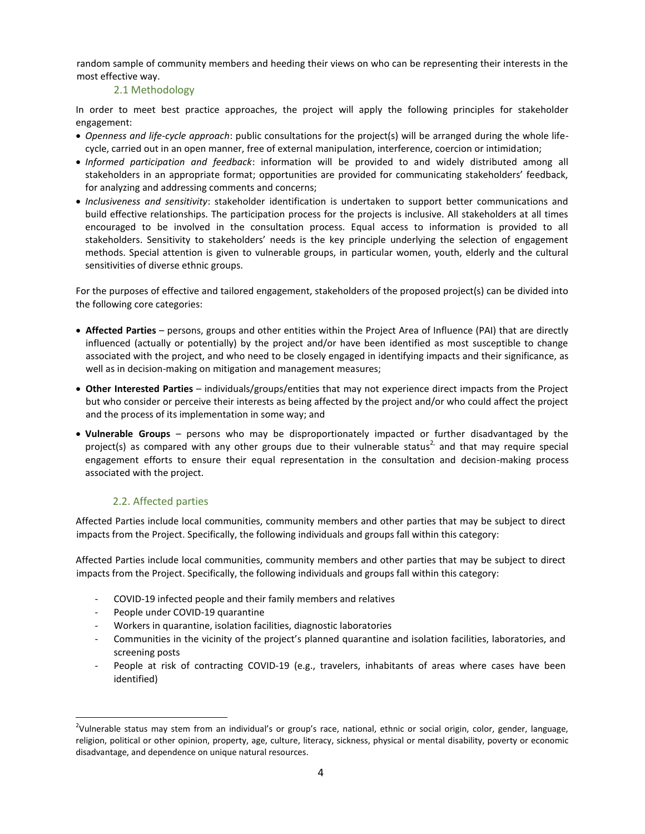random sample of community members and heeding their views on who can be representing their interests in the most effective way.

## 2.1 Methodology

In order to meet best practice approaches, the project will apply the following principles for stakeholder engagement:

- *Openness and life-cycle approach*: public consultations for the project(s) will be arranged during the whole lifecycle, carried out in an open manner, free of external manipulation, interference, coercion or intimidation;
- *Informed participation and feedback*: information will be provided to and widely distributed among all stakeholders in an appropriate format; opportunities are provided for communicating stakeholders' feedback, for analyzing and addressing comments and concerns;
- *Inclusiveness and sensitivity*: stakeholder identification is undertaken to support better communications and build effective relationships. The participation process for the projects is inclusive. All stakeholders at all times encouraged to be involved in the consultation process. Equal access to information is provided to all stakeholders. Sensitivity to stakeholders' needs is the key principle underlying the selection of engagement methods. Special attention is given to vulnerable groups, in particular women, youth, elderly and the cultural sensitivities of diverse ethnic groups.

For the purposes of effective and tailored engagement, stakeholders of the proposed project(s) can be divided into the following core categories:

- **Affected Parties** persons, groups and other entities within the Project Area of Influence (PAI) that are directly influenced (actually or potentially) by the project and/or have been identified as most susceptible to change associated with the project, and who need to be closely engaged in identifying impacts and their significance, as well as in decision-making on mitigation and management measures;
- **Other Interested Parties** individuals/groups/entities that may not experience direct impacts from the Project but who consider or perceive their interests as being affected by the project and/or who could affect the project and the process of its implementation in some way; and
- **Vulnerable Groups** persons who may be disproportionately impacted or further disadvantaged by the project(s) as compared with any other groups due to their vulnerable status<sup>2,</sup> and that may require special engagement efforts to ensure their equal representation in the consultation and decision-making process associated with the project.

## 2.2. Affected parties

Affected Parties include local communities, community members and other parties that may be subject to direct impacts from the Project. Specifically, the following individuals and groups fall within this category:

Affected Parties include local communities, community members and other parties that may be subject to direct impacts from the Project. Specifically, the following individuals and groups fall within this category:

- COVID-19 infected people and their family members and relatives
- People under COVID-19 quarantine

l

- Workers in quarantine, isolation facilities, diagnostic laboratories
- Communities in the vicinity of the project's planned quarantine and isolation facilities, laboratories, and screening posts
- People at risk of contracting COVID-19 (e.g., travelers, inhabitants of areas where cases have been identified)

<sup>&</sup>lt;sup>2</sup>Vulnerable status may stem from an individual's or group's race, national, ethnic or social origin, color, gender, language, religion, political or other opinion, property, age, culture, literacy, sickness, physical or mental disability, poverty or economic disadvantage, and dependence on unique natural resources.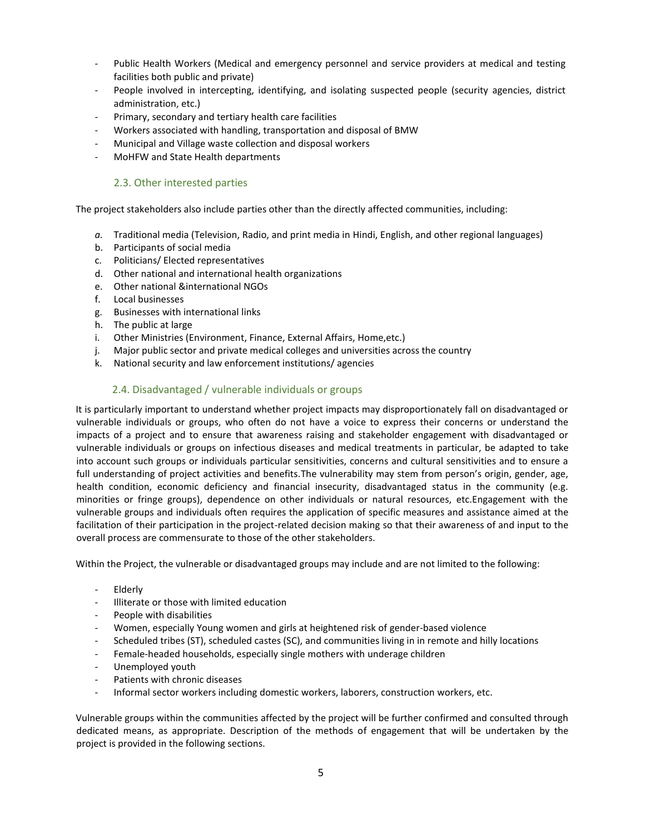- Public Health Workers (Medical and emergency personnel and service providers at medical and testing facilities both public and private)
- People involved in intercepting, identifying, and isolating suspected people (security agencies, district administration, etc.)
- Primary, secondary and tertiary health care facilities
- Workers associated with handling, transportation and disposal of BMW
- Municipal and Village waste collection and disposal workers
- MoHFW and State Health departments

## 2.3. Other interested parties

The project stakeholders also include parties other than the directly affected communities, including:

- *a.* Traditional media (Television, Radio, and print media in Hindi, English, and other regional languages)
- b. Participants of social media
- c. Politicians/ Elected representatives
- d. Other national and international health organizations
- e. Other national &international NGOs
- f. Local businesses
- g. Businesses with international links
- h. The public at large
- i. Other Ministries (Environment, Finance, External Affairs, Home,etc.)
- j. Major public sector and private medical colleges and universities across the country
- k. National security and law enforcement institutions/ agencies

## 2.4. Disadvantaged / vulnerable individuals or groups

It is particularly important to understand whether project impacts may disproportionately fall on disadvantaged or vulnerable individuals or groups, who often do not have a voice to express their concerns or understand the impacts of a project and to ensure that awareness raising and stakeholder engagement with disadvantaged or vulnerable individuals or groups on infectious diseases and medical treatments in particular, be adapted to take into account such groups or individuals particular sensitivities, concerns and cultural sensitivities and to ensure a full understanding of project activities and benefits.The vulnerability may stem from person's origin, gender, age, health condition, economic deficiency and financial insecurity, disadvantaged status in the community (e.g. minorities or fringe groups), dependence on other individuals or natural resources, etc.Engagement with the vulnerable groups and individuals often requires the application of specific measures and assistance aimed at the facilitation of their participation in the project-related decision making so that their awareness of and input to the overall process are commensurate to those of the other stakeholders.

Within the Project, the vulnerable or disadvantaged groups may include and are not limited to the following:

- Elderly
- Illiterate or those with limited education
- People with disabilities
- Women, especially Young women and girls at heightened risk of gender-based violence
- Scheduled tribes (ST), scheduled castes (SC), and communities living in in remote and hilly locations
- Female-headed households, especially single mothers with underage children
- Unemployed youth
- Patients with chronic diseases
- Informal sector workers including domestic workers, laborers, construction workers, etc.

Vulnerable groups within the communities affected by the project will be further confirmed and consulted through dedicated means, as appropriate. Description of the methods of engagement that will be undertaken by the project is provided in the following sections.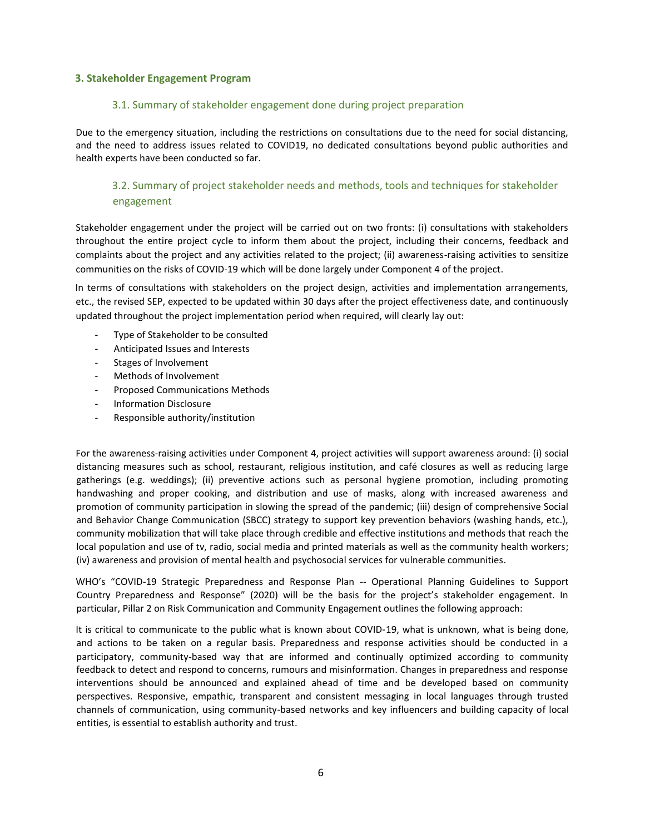## **3. Stakeholder Engagement Program**

## 3.1. Summary of stakeholder engagement done during project preparation

Due to the emergency situation, including the restrictions on consultations due to the need for social distancing, and the need to address issues related to COVID19, no dedicated consultations beyond public authorities and health experts have been conducted so far.

## 3.2. Summary of project stakeholder needs and methods, tools and techniques for stakeholder engagement

Stakeholder engagement under the project will be carried out on two fronts: (i) consultations with stakeholders throughout the entire project cycle to inform them about the project, including their concerns, feedback and complaints about the project and any activities related to the project; (ii) awareness-raising activities to sensitize communities on the risks of COVID-19 which will be done largely under Component 4 of the project.

In terms of consultations with stakeholders on the project design, activities and implementation arrangements, etc., the revised SEP, expected to be updated within 30 days after the project effectiveness date, and continuously updated throughout the project implementation period when required, will clearly lay out:

- Type of Stakeholder to be consulted
- Anticipated Issues and Interests
- Stages of Involvement
- Methods of Involvement
- Proposed Communications Methods
- Information Disclosure
- Responsible authority/institution

For the awareness-raising activities under Component 4, project activities will support awareness around: (i) social distancing measures such as school, restaurant, religious institution, and café closures as well as reducing large gatherings (e.g. weddings); (ii) preventive actions such as personal hygiene promotion, including promoting handwashing and proper cooking, and distribution and use of masks, along with increased awareness and promotion of community participation in slowing the spread of the pandemic; (iii) design of comprehensive Social and Behavior Change Communication (SBCC) strategy to support key prevention behaviors (washing hands, etc.), community mobilization that will take place through credible and effective institutions and methods that reach the local population and use of tv, radio, social media and printed materials as well as the community health workers; (iv) awareness and provision of mental health and psychosocial services for vulnerable communities.

WHO's "COVID-19 Strategic Preparedness and Response Plan -- Operational Planning Guidelines to Support Country Preparedness and Response" (2020) will be the basis for the project's stakeholder engagement. In particular, Pillar 2 on Risk Communication and Community Engagement outlines the following approach:

It is critical to communicate to the public what is known about COVID-19, what is unknown, what is being done, and actions to be taken on a regular basis. Preparedness and response activities should be conducted in a participatory, community-based way that are informed and continually optimized according to community feedback to detect and respond to concerns, rumours and misinformation. Changes in preparedness and response interventions should be announced and explained ahead of time and be developed based on community perspectives. Responsive, empathic, transparent and consistent messaging in local languages through trusted channels of communication, using community-based networks and key influencers and building capacity of local entities, is essential to establish authority and trust.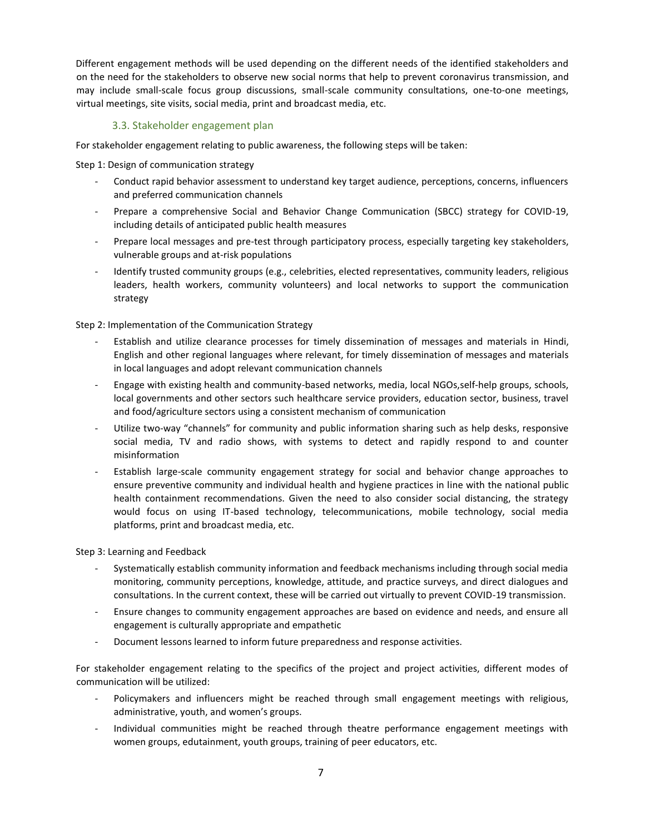Different engagement methods will be used depending on the different needs of the identified stakeholders and on the need for the stakeholders to observe new social norms that help to prevent coronavirus transmission, and may include small-scale focus group discussions, small-scale community consultations, one-to-one meetings, virtual meetings, site visits, social media, print and broadcast media, etc.

## 3.3. Stakeholder engagement plan

For stakeholder engagement relating to public awareness, the following steps will be taken:

Step 1: Design of communication strategy

- Conduct rapid behavior assessment to understand key target audience, perceptions, concerns, influencers and preferred communication channels
- Prepare a comprehensive Social and Behavior Change Communication (SBCC) strategy for COVID-19, including details of anticipated public health measures
- Prepare local messages and pre-test through participatory process, especially targeting key stakeholders, vulnerable groups and at-risk populations
- Identify trusted community groups (e.g., celebrities, elected representatives, community leaders, religious leaders, health workers, community volunteers) and local networks to support the communication strategy

Step 2: Implementation of the Communication Strategy

- Establish and utilize clearance processes for timely dissemination of messages and materials in Hindi, English and other regional languages where relevant, for timely dissemination of messages and materials in local languages and adopt relevant communication channels
- Engage with existing health and community-based networks, media, local NGOs,self-help groups, schools, local governments and other sectors such healthcare service providers, education sector, business, travel and food/agriculture sectors using a consistent mechanism of communication
- Utilize two-way "channels" for community and public information sharing such as help desks, responsive social media, TV and radio shows, with systems to detect and rapidly respond to and counter misinformation
- Establish large-scale community engagement strategy for social and behavior change approaches to ensure preventive community and individual health and hygiene practices in line with the national public health containment recommendations. Given the need to also consider social distancing, the strategy would focus on using IT-based technology, telecommunications, mobile technology, social media platforms, print and broadcast media, etc.

Step 3: Learning and Feedback

- Systematically establish community information and feedback mechanisms including through social media monitoring, community perceptions, knowledge, attitude, and practice surveys, and direct dialogues and consultations. In the current context, these will be carried out virtually to prevent COVID-19 transmission.
- Ensure changes to community engagement approaches are based on evidence and needs, and ensure all engagement is culturally appropriate and empathetic
- Document lessons learned to inform future preparedness and response activities.

For stakeholder engagement relating to the specifics of the project and project activities, different modes of communication will be utilized:

- Policymakers and influencers might be reached through small engagement meetings with religious, administrative, youth, and women's groups.
- Individual communities might be reached through theatre performance engagement meetings with women groups, edutainment, youth groups, training of peer educators, etc.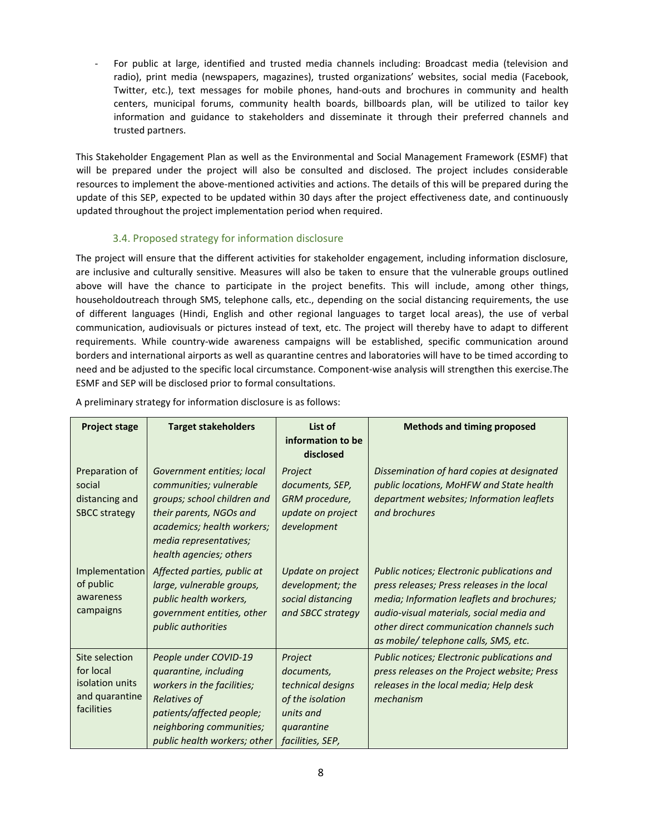For public at large, identified and trusted media channels including: Broadcast media (television and radio), print media (newspapers, magazines), trusted organizations' websites, social media (Facebook, Twitter, etc.), text messages for mobile phones, hand-outs and brochures in community and health centers, municipal forums, community health boards, billboards plan, will be utilized to tailor key information and guidance to stakeholders and disseminate it through their preferred channels and trusted partners.

This Stakeholder Engagement Plan as well as the Environmental and Social Management Framework (ESMF) that will be prepared under the project will also be consulted and disclosed. The project includes considerable resources to implement the above-mentioned activities and actions. The details of this will be prepared during the update of this SEP, expected to be updated within 30 days after the project effectiveness date, and continuously updated throughout the project implementation period when required.

## 3.4. Proposed strategy for information disclosure

The project will ensure that the different activities for stakeholder engagement, including information disclosure, are inclusive and culturally sensitive. Measures will also be taken to ensure that the vulnerable groups outlined above will have the chance to participate in the project benefits. This will include, among other things, householdoutreach through SMS, telephone calls, etc., depending on the social distancing requirements, the use of different languages (Hindi, English and other regional languages to target local areas), the use of verbal communication, audiovisuals or pictures instead of text, etc. The project will thereby have to adapt to different requirements. While country-wide awareness campaigns will be established, specific communication around borders and international airports as well as quarantine centres and laboratories will have to be timed according to need and be adjusted to the specific local circumstance. Component-wise analysis will strengthen this exercise.The ESMF and SEP will be disclosed prior to formal consultations.

| <b>Project stage</b>                                                           | <b>Target stakeholders</b>                                                                                                                                                                         | List of<br>information to be<br>disclosed                                                                     | <b>Methods and timing proposed</b>                                                                                                                                                                                                                                        |
|--------------------------------------------------------------------------------|----------------------------------------------------------------------------------------------------------------------------------------------------------------------------------------------------|---------------------------------------------------------------------------------------------------------------|---------------------------------------------------------------------------------------------------------------------------------------------------------------------------------------------------------------------------------------------------------------------------|
| Preparation of<br>social<br>distancing and<br><b>SBCC strategy</b>             | Government entities; local<br>communities; vulnerable<br>groups; school children and<br>their parents, NGOs and<br>academics; health workers;<br>media representatives;<br>health agencies; others | Project<br>documents, SEP,<br>GRM procedure,<br>update on project<br>development                              | Dissemination of hard copies at designated<br>public locations, MoHFW and State health<br>department websites; Information leaflets<br>and brochures                                                                                                                      |
| Implementation<br>of public<br>awareness<br>campaigns                          | Affected parties, public at<br>large, vulnerable groups,<br>public health workers,<br>government entities, other<br>public authorities                                                             | Update on project<br>development; the<br>social distancing<br>and SBCC strategy                               | Public notices; Electronic publications and<br>press releases; Press releases in the local<br>media; Information leaflets and brochures;<br>audio-visual materials, social media and<br>other direct communication channels such<br>as mobile/ telephone calls, SMS, etc. |
| Site selection<br>for local<br>isolation units<br>and quarantine<br>facilities | People under COVID-19<br>quarantine, including<br>workers in the facilities;<br>Relatives of<br>patients/affected people;<br>neighboring communities;<br>public health workers; other              | Project<br>documents,<br>technical designs<br>of the isolation<br>units and<br>quarantine<br>facilities, SEP, | Public notices; Electronic publications and<br>press releases on the Project website; Press<br>releases in the local media; Help desk<br>mechanism                                                                                                                        |

A preliminary strategy for information disclosure is as follows: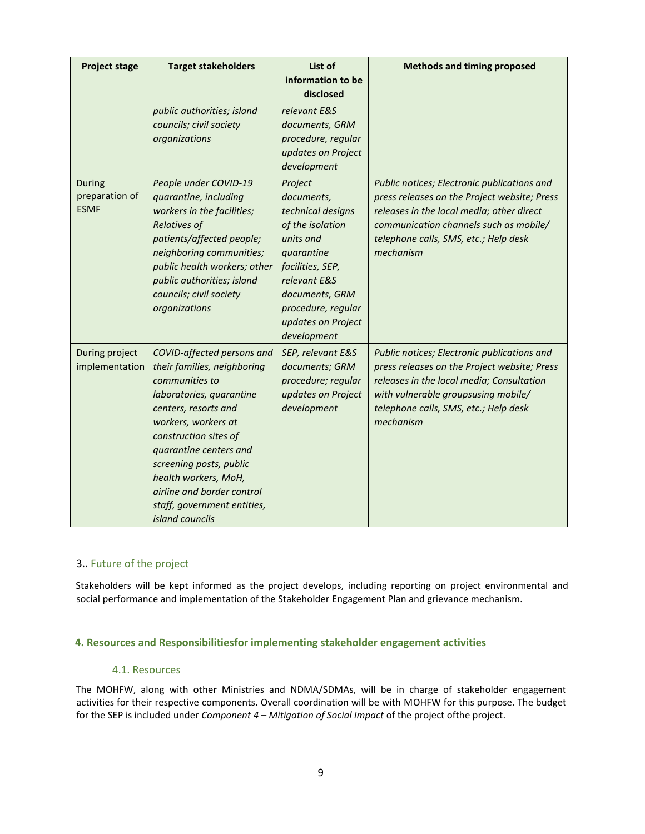| <b>Project stage</b>                           | <b>Target stakeholders</b>                                                                                                                                                                                                                                                                                                                   | List of<br>information to be<br>disclosed                                                                                                                                                                  | <b>Methods and timing proposed</b>                                                                                                                                                                                                       |
|------------------------------------------------|----------------------------------------------------------------------------------------------------------------------------------------------------------------------------------------------------------------------------------------------------------------------------------------------------------------------------------------------|------------------------------------------------------------------------------------------------------------------------------------------------------------------------------------------------------------|------------------------------------------------------------------------------------------------------------------------------------------------------------------------------------------------------------------------------------------|
|                                                | public authorities; island<br>councils; civil society<br>organizations                                                                                                                                                                                                                                                                       | relevant E&S<br>documents, GRM<br>procedure, regular<br>updates on Project<br>development                                                                                                                  |                                                                                                                                                                                                                                          |
| <b>During</b><br>preparation of<br><b>ESMF</b> | People under COVID-19<br>quarantine, including<br>workers in the facilities;<br><b>Relatives of</b><br>patients/affected people;<br>neighboring communities;<br>public health workers; other<br>public authorities; island<br>councils; civil society<br>organizations                                                                       | Project<br>documents,<br>technical designs<br>of the isolation<br>units and<br>quarantine<br>facilities, SEP,<br>relevant E&S<br>documents, GRM<br>procedure, regular<br>updates on Project<br>development | Public notices; Electronic publications and<br>press releases on the Project website; Press<br>releases in the local media; other direct<br>communication channels such as mobile/<br>telephone calls, SMS, etc.; Help desk<br>mechanism |
| During project<br>implementation               | COVID-affected persons and<br>their families, neighboring<br>communities to<br>laboratories, quarantine<br>centers, resorts and<br>workers, workers at<br>construction sites of<br>quarantine centers and<br>screening posts, public<br>health workers, MoH,<br>airline and border control<br>staff, government entities,<br>island councils | SEP, relevant E&S<br>documents; GRM<br>procedure; regular<br>updates on Project<br>development                                                                                                             | Public notices; Electronic publications and<br>press releases on the Project website; Press<br>releases in the local media; Consultation<br>with vulnerable groupsusing mobile/<br>telephone calls, SMS, etc.; Help desk<br>mechanism    |

## 3.. Future of the project

Stakeholders will be kept informed as the project develops, including reporting on project environmental and social performance and implementation of the Stakeholder Engagement Plan and grievance mechanism.

## **4. Resources and Responsibilitiesfor implementing stakeholder engagement activities**

#### 4.1. Resources

The MOHFW, along with other Ministries and NDMA/SDMAs, will be in charge of stakeholder engagement activities for their respective components. Overall coordination will be with MOHFW for this purpose. The budget for the SEP is included under *Component 4 – Mitigation of Social Impact* of the project ofthe project.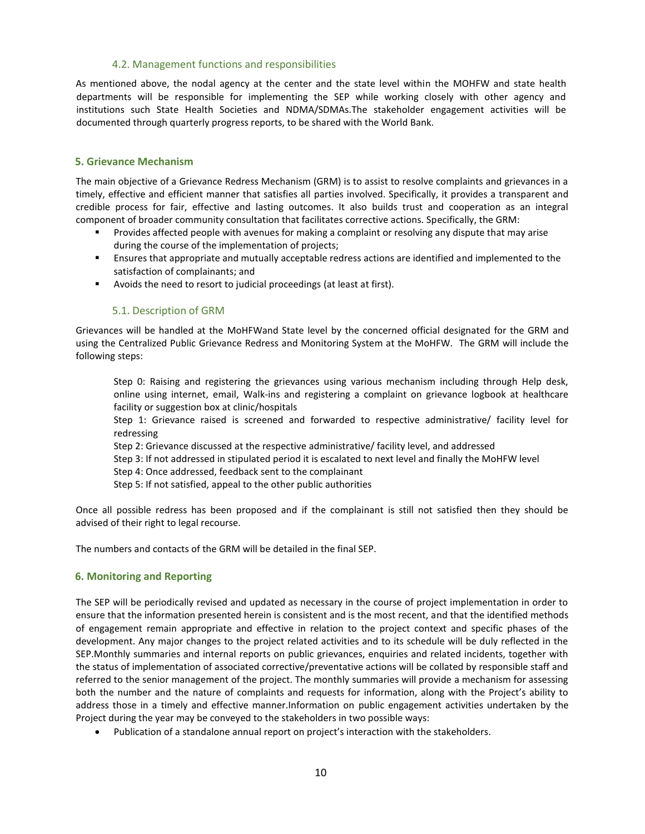## 4.2. Management functions and responsibilities

As mentioned above, the nodal agency at the center and the state level within the MOHFW and state health departments will be responsible for implementing the SEP while working closely with other agency and institutions such State Health Societies and NDMA/SDMAs.The stakeholder engagement activities will be documented through quarterly progress reports, to be shared with the World Bank.

## **5. Grievance Mechanism**

The main objective of a Grievance Redress Mechanism (GRM) is to assist to resolve complaints and grievances in a timely, effective and efficient manner that satisfies all parties involved. Specifically, it provides a transparent and credible process for fair, effective and lasting outcomes. It also builds trust and cooperation as an integral component of broader community consultation that facilitates corrective actions. Specifically, the GRM:

- Provides affected people with avenues for making a complaint or resolving any dispute that may arise during the course of the implementation of projects;
- Ensures that appropriate and mutually acceptable redress actions are identified and implemented to the satisfaction of complainants; and
- Avoids the need to resort to judicial proceedings (at least at first).

## 5.1. Description of GRM

Grievances will be handled at the MoHFWand State level by the concerned official designated for the GRM and using the Centralized Public Grievance Redress and Monitoring System at the MoHFW. The GRM will include the following steps:

Step 0: Raising and registering the grievances using various mechanism including through Help desk, online using internet, email, Walk-ins and registering a complaint on grievance logbook at healthcare facility or suggestion box at clinic/hospitals

Step 1: Grievance raised is screened and forwarded to respective administrative/ facility level for redressing

- Step 2: Grievance discussed at the respective administrative/ facility level, and addressed
- Step 3: If not addressed in stipulated period it is escalated to next level and finally the MoHFW level
- Step 4: Once addressed, feedback sent to the complainant
- Step 5: If not satisfied, appeal to the other public authorities

Once all possible redress has been proposed and if the complainant is still not satisfied then they should be advised of their right to legal recourse.

The numbers and contacts of the GRM will be detailed in the final SEP.

## **6. Monitoring and Reporting**

The SEP will be periodically revised and updated as necessary in the course of project implementation in order to ensure that the information presented herein is consistent and is the most recent, and that the identified methods of engagement remain appropriate and effective in relation to the project context and specific phases of the development. Any major changes to the project related activities and to its schedule will be duly reflected in the SEP.Monthly summaries and internal reports on public grievances, enquiries and related incidents, together with the status of implementation of associated corrective/preventative actions will be collated by responsible staff and referred to the senior management of the project. The monthly summaries will provide a mechanism for assessing both the number and the nature of complaints and requests for information, along with the Project's ability to address those in a timely and effective manner.Information on public engagement activities undertaken by the Project during the year may be conveyed to the stakeholders in two possible ways:

Publication of a standalone annual report on project's interaction with the stakeholders.